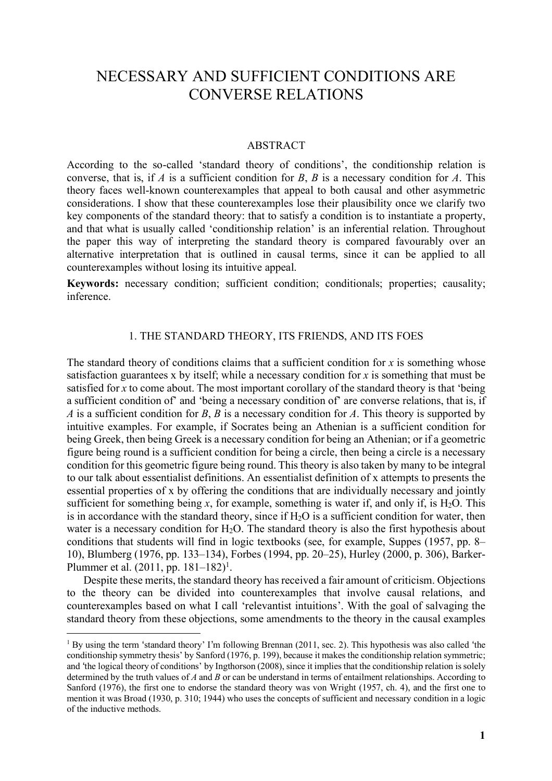# NECESSARY AND SUFFICIENT CONDITIONS ARE CONVERSE RELATIONS

#### ABSTRACT

According to the so-called 'standard theory of conditions', the conditionship relation is converse, that is, if *A* is a sufficient condition for *B*, *B* is a necessary condition for *A*. This theory faces well-known counterexamples that appeal to both causal and other asymmetric considerations. I show that these counterexamples lose their plausibility once we clarify two key components of the standard theory: that to satisfy a condition is to instantiate a property, and that what is usually called 'conditionship relation' is an inferential relation. Throughout the paper this way of interpreting the standard theory is compared favourably over an alternative interpretation that is outlined in causal terms, since it can be applied to all counterexamples without losing its intuitive appeal.

**Keywords:** necessary condition; sufficient condition; conditionals; properties; causality; inference.

### 1. THE STANDARD THEORY, ITS FRIENDS, AND ITS FOES

The standard theory of conditions claims that a sufficient condition for  $x$  is something whose satisfaction guarantees x by itself; while a necessary condition for *x* is something that must be satisfied for *x* to come about. The most important corollary of the standard theory is that 'being a sufficient condition of' and 'being a necessary condition of' are converse relations, that is, if *A* is a sufficient condition for *B*, *B* is a necessary condition for *A*. This theory is supported by intuitive examples. For example, if Socrates being an Athenian is a sufficient condition for being Greek, then being Greek is a necessary condition for being an Athenian; or if a geometric figure being round is a sufficient condition for being a circle, then being a circle is a necessary condition for this geometric figure being round. This theory is also taken by many to be integral to our talk about essentialist definitions. An essentialist definition of x attempts to presents the essential properties of x by offering the conditions that are individually necessary and jointly sufficient for something being *x*, for example, something is water if, and only if, is  $H_2O$ . This is in accordance with the standard theory, since if  $H_2O$  is a sufficient condition for water, then water is a necessary condition for  $H_2O$ . The standard theory is also the first hypothesis about conditions that students will find in logic textbooks (see, for example, Suppes (1957, pp. 8– 10), Blumberg (1976, pp. 133–134), Forbes (1994, pp. 20–25), Hurley (2000, p. 306), Barker-Plummer et al.  $(2011, pp. 181-182)^1$ .

Despite these merits, the standard theory has received a fair amount of criticism. Objections to the theory can be divided into counterexamples that involve causal relations, and counterexamples based on what I call 'relevantist intuitions'. With the goal of salvaging the standard theory from these objections, some amendments to the theory in the causal examples

<sup>&</sup>lt;sup>1</sup> By using the term 'standard theory' I'm following Brennan (2011, sec. 2). This hypothesis was also called 'the conditionship symmetry thesis' by Sanford (1976, p. 199), because it makes the conditionship relation symmetric; and 'the logical theory of conditions' by Ingthorson (2008), since it implies that the conditionship relation issolely determined by the truth values of *A* and *B* or can be understand in terms of entailment relationships. According to Sanford (1976), the first one to endorse the standard theory was von Wright (1957, ch. 4), and the first one to mention it was Broad (1930, p. 310; 1944) who uses the concepts of sufficient and necessary condition in a logic of the inductive methods.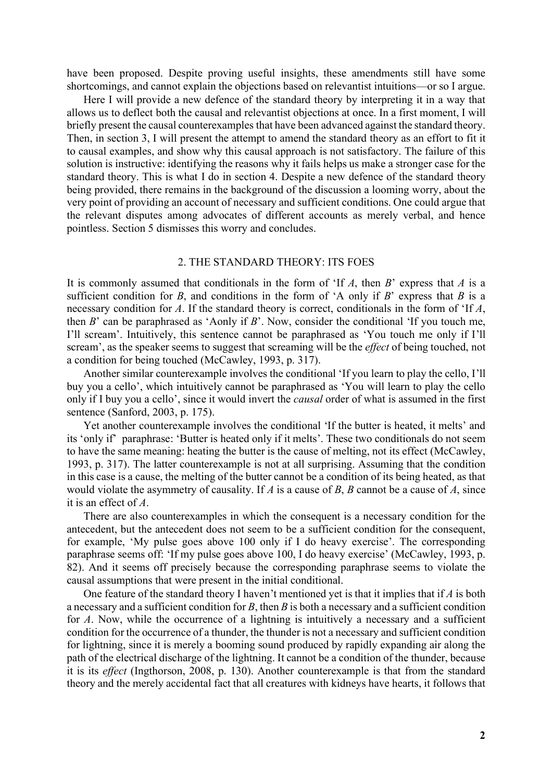have been proposed. Despite proving useful insights, these amendments still have some shortcomings, and cannot explain the objections based on relevantist intuitions—or so I argue.

Here I will provide a new defence of the standard theory by interpreting it in a way that allows us to deflect both the causal and relevantist objections at once. In a first moment, I will briefly present the causal counterexamples that have been advanced against the standard theory. Then, in section 3, I will present the attempt to amend the standard theory as an effort to fit it to causal examples, and show why this causal approach is not satisfactory. The failure of this solution is instructive: identifying the reasons why it fails helps us make a stronger case for the standard theory. This is what I do in section 4. Despite a new defence of the standard theory being provided, there remains in the background of the discussion a looming worry, about the very point of providing an account of necessary and sufficient conditions. One could argue that the relevant disputes among advocates of different accounts as merely verbal, and hence pointless. Section 5 dismisses this worry and concludes.

#### 2. THE STANDARD THEORY: ITS FOES

It is commonly assumed that conditionals in the form of 'If *A*, then *B*' express that *A* is a sufficient condition for *B*, and conditions in the form of 'A only if *B*' express that *B* is a necessary condition for *A*. If the standard theory is correct, conditionals in the form of 'If *A*, then *B*' can be paraphrased as 'Aonly if *B*'. Now, consider the conditional 'If you touch me, I'll scream'. Intuitively, this sentence cannot be paraphrased as 'You touch me only if I'll scream', as the speaker seems to suggest that screaming will be the *effect* of being touched, not a condition for being touched (McCawley, 1993, p. 317).

Another similar counterexample involves the conditional 'If you learn to play the cello, I'll buy you a cello', which intuitively cannot be paraphrased as 'You will learn to play the cello only if I buy you a cello', since it would invert the *causal* order of what is assumed in the first sentence (Sanford, 2003, p. 175).

Yet another counterexample involves the conditional 'If the butter is heated, it melts' and its 'only if' paraphrase: 'Butter is heated only if it melts'. These two conditionals do not seem to have the same meaning: heating the butter is the cause of melting, not its effect (McCawley, 1993, p. 317). The latter counterexample is not at all surprising. Assuming that the condition in this case is a cause, the melting of the butter cannot be a condition of its being heated, as that would violate the asymmetry of causality. If *A* is a cause of *B*, *B* cannot be a cause of *A*, since it is an effect of *A*.

There are also counterexamples in which the consequent is a necessary condition for the antecedent, but the antecedent does not seem to be a sufficient condition for the consequent, for example, 'My pulse goes above 100 only if I do heavy exercise'. The corresponding paraphrase seems off: 'If my pulse goes above 100, I do heavy exercise' (McCawley, 1993, p. 82). And it seems off precisely because the corresponding paraphrase seems to violate the causal assumptions that were present in the initial conditional.

One feature of the standard theory I haven't mentioned yet is that it implies that if *A* is both a necessary and a sufficient condition for *B*, then *B* is both a necessary and a sufficient condition for *A*. Now, while the occurrence of a lightning is intuitively a necessary and a sufficient condition for the occurrence of a thunder, the thunder is not a necessary and sufficient condition for lightning, since it is merely a booming sound produced by rapidly expanding air along the path of the electrical discharge of the lightning. It cannot be a condition of the thunder, because it is its *effect* (Ingthorson, 2008, p. 130). Another counterexample is that from the standard theory and the merely accidental fact that all creatures with kidneys have hearts, it follows that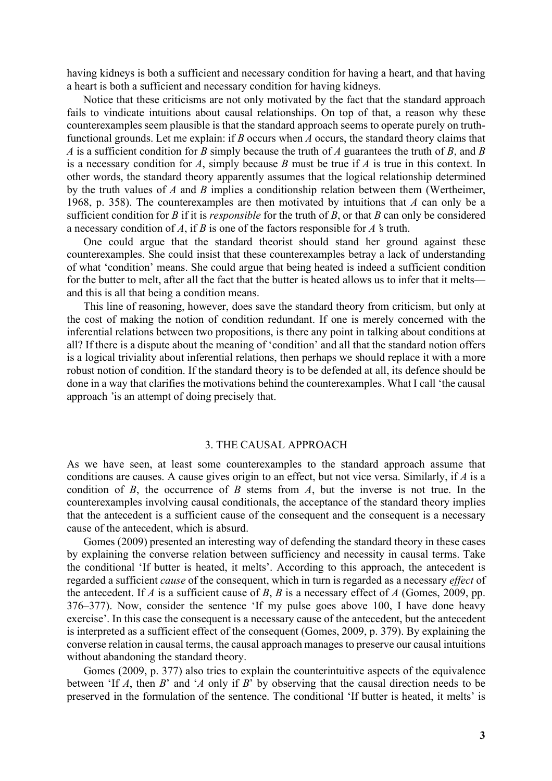having kidneys is both a sufficient and necessary condition for having a heart, and that having a heart is both a sufficient and necessary condition for having kidneys.

Notice that these criticisms are not only motivated by the fact that the standard approach fails to vindicate intuitions about causal relationships. On top of that, a reason why these counterexamples seem plausible is that the standard approach seems to operate purely on truthfunctional grounds. Let me explain: if *B* occurs when *A* occurs, the standard theory claims that *A* is a sufficient condition for *B* simply because the truth of *A* guarantees the truth of *B*, and *B* is a necessary condition for *A*, simply because *B* must be true if *A* is true in this context. In other words, the standard theory apparently assumes that the logical relationship determined by the truth values of *A* and *B* implies a conditionship relation between them (Wertheimer, 1968, p. 358). The counterexamples are then motivated by intuitions that *A* can only be a sufficient condition for *B* if it is *responsible* for the truth of *B*, or that *B* can only be considered a necessary condition of *A*, if *B* is one of the factors responsible for *A*'s truth.

One could argue that the standard theorist should stand her ground against these counterexamples. She could insist that these counterexamples betray a lack of understanding of what 'condition' means. She could argue that being heated is indeed a sufficient condition for the butter to melt, after all the fact that the butter is heated allows us to infer that it melts and this is all that being a condition means.

This line of reasoning, however, does save the standard theory from criticism, but only at the cost of making the notion of condition redundant. If one is merely concerned with the inferential relations between two propositions, is there any point in talking about conditions at all? If there is a dispute about the meaning of 'condition' and all that the standard notion offers is a logical triviality about inferential relations, then perhaps we should replace it with a more robust notion of condition. If the standard theory is to be defended at all, its defence should be done in a way that clarifies the motivations behind the counterexamples. What I call 'the causal approach 'is an attempt of doing precisely that.

#### 3. THE CAUSAL APPROACH

As we have seen, at least some counterexamples to the standard approach assume that conditions are causes. A cause gives origin to an effect, but not vice versa. Similarly, if *A* is a condition of *B*, the occurrence of *B* stems from *A*, but the inverse is not true. In the counterexamples involving causal conditionals, the acceptance of the standard theory implies that the antecedent is a sufficient cause of the consequent and the consequent is a necessary cause of the antecedent, which is absurd.

Gomes (2009) presented an interesting way of defending the standard theory in these cases by explaining the converse relation between sufficiency and necessity in causal terms. Take the conditional 'If butter is heated, it melts'. According to this approach, the antecedent is regarded a sufficient *cause* of the consequent, which in turn is regarded as a necessary *effect* of the antecedent. If *A* is a sufficient cause of *B*, *B* is a necessary effect of *A* (Gomes, 2009, pp. 376–377). Now, consider the sentence 'If my pulse goes above 100, I have done heavy exercise'. In this case the consequent is a necessary cause of the antecedent, but the antecedent is interpreted as a sufficient effect of the consequent (Gomes, 2009, p. 379). By explaining the converse relation in causal terms, the causal approach manages to preserve our causal intuitions without abandoning the standard theory.

Gomes (2009, p. 377) also tries to explain the counterintuitive aspects of the equivalence between 'If *A*, then *B*' and '*A* only if *B*' by observing that the causal direction needs to be preserved in the formulation of the sentence. The conditional 'If butter is heated, it melts' is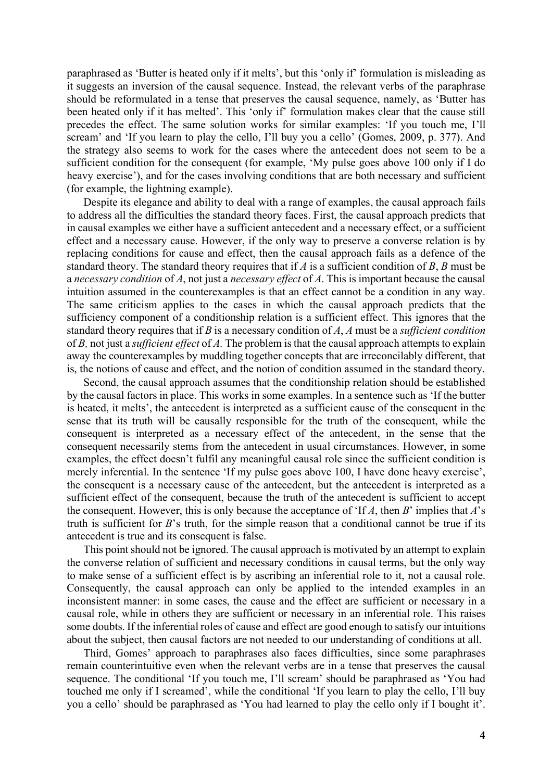paraphrased as 'Butter is heated only if it melts', but this 'only if' formulation is misleading as it suggests an inversion of the causal sequence. Instead, the relevant verbs of the paraphrase should be reformulated in a tense that preserves the causal sequence, namely, as 'Butter has been heated only if it has melted'. This 'only if' formulation makes clear that the cause still precedes the effect. The same solution works for similar examples: 'If you touch me, I'll scream' and 'If you learn to play the cello, I'll buy you a cello' (Gomes, 2009, p. 377). And the strategy also seems to work for the cases where the antecedent does not seem to be a sufficient condition for the consequent (for example, 'My pulse goes above 100 only if I do heavy exercise'), and for the cases involving conditions that are both necessary and sufficient (for example, the lightning example).

Despite its elegance and ability to deal with a range of examples, the causal approach fails to address all the difficulties the standard theory faces. First, the causal approach predicts that in causal examples we either have a sufficient antecedent and a necessary effect, or a sufficient effect and a necessary cause. However, if the only way to preserve a converse relation is by replacing conditions for cause and effect, then the causal approach fails as a defence of the standard theory. The standard theory requires that if *A* is a sufficient condition of *B*, *B* must be a *necessary condition* of *A*, not just a *necessary effect* of *A*. This is important because the causal intuition assumed in the counterexamples is that an effect cannot be a condition in any way. The same criticism applies to the cases in which the causal approach predicts that the sufficiency component of a conditionship relation is a sufficient effect. This ignores that the standard theory requires that if *B* is a necessary condition of *A*, *A* must be a *sufficient condition* of *B*, not just a *sufficient effect* of *A*. The problem is that the causal approach attempts to explain away the counterexamples by muddling together concepts that are irreconcilably different, that is, the notions of cause and effect, and the notion of condition assumed in the standard theory.

Second, the causal approach assumes that the conditionship relation should be established by the causal factors in place. This works in some examples. In a sentence such as 'If the butter is heated, it melts', the antecedent is interpreted as a sufficient cause of the consequent in the sense that its truth will be causally responsible for the truth of the consequent, while the consequent is interpreted as a necessary effect of the antecedent, in the sense that the consequent necessarily stems from the antecedent in usual circumstances. However, in some examples, the effect doesn't fulfil any meaningful causal role since the sufficient condition is merely inferential. In the sentence 'If my pulse goes above 100, I have done heavy exercise', the consequent is a necessary cause of the antecedent, but the antecedent is interpreted as a sufficient effect of the consequent, because the truth of the antecedent is sufficient to accept the consequent. However, this is only because the acceptance of 'If *A*, then *B*' implies that *A*'s truth is sufficient for *B*'s truth, for the simple reason that a conditional cannot be true if its antecedent is true and its consequent is false.

This point should not be ignored. The causal approach is motivated by an attempt to explain the converse relation of sufficient and necessary conditions in causal terms, but the only way to make sense of a sufficient effect is by ascribing an inferential role to it, not a causal role. Consequently, the causal approach can only be applied to the intended examples in an inconsistent manner: in some cases, the cause and the effect are sufficient or necessary in a causal role, while in others they are sufficient or necessary in an inferential role. This raises some doubts. If the inferential roles of cause and effect are good enough to satisfy our intuitions about the subject, then causal factors are not needed to our understanding of conditions at all.

Third, Gomes' approach to paraphrases also faces difficulties, since some paraphrases remain counterintuitive even when the relevant verbs are in a tense that preserves the causal sequence. The conditional 'If you touch me, I'll scream' should be paraphrased as 'You had touched me only if I screamed', while the conditional 'If you learn to play the cello, I'll buy you a cello' should be paraphrased as 'You had learned to play the cello only if I bought it'.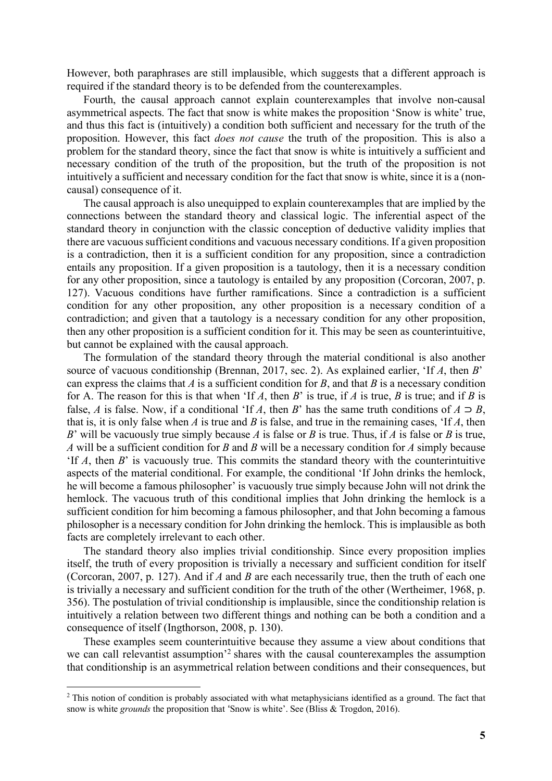However, both paraphrases are still implausible, which suggests that a different approach is required if the standard theory is to be defended from the counterexamples.

Fourth, the causal approach cannot explain counterexamples that involve non-causal asymmetrical aspects. The fact that snow is white makes the proposition 'Snow is white' true, and thus this fact is (intuitively) a condition both sufficient and necessary for the truth of the proposition. However, this fact *does not cause* the truth of the proposition. This is also a problem for the standard theory, since the fact that snow is white is intuitively a sufficient and necessary condition of the truth of the proposition, but the truth of the proposition is not intuitively a sufficient and necessary condition for the fact that snow is white, since it is a (noncausal) consequence of it.

The causal approach is also unequipped to explain counterexamples that are implied by the connections between the standard theory and classical logic. The inferential aspect of the standard theory in conjunction with the classic conception of deductive validity implies that there are vacuous sufficient conditions and vacuous necessary conditions. If a given proposition is a contradiction, then it is a sufficient condition for any proposition, since a contradiction entails any proposition. If a given proposition is a tautology, then it is a necessary condition for any other proposition, since a tautology is entailed by any proposition (Corcoran, 2007, p. 127). Vacuous conditions have further ramifications. Since a contradiction is a sufficient condition for any other proposition, any other proposition is a necessary condition of a contradiction; and given that a tautology is a necessary condition for any other proposition, then any other proposition is a sufficient condition for it. This may be seen as counterintuitive, but cannot be explained with the causal approach.

The formulation of the standard theory through the material conditional is also another source of vacuous conditionship (Brennan, 2017, sec. 2). As explained earlier, 'If *A*, then *B*' can express the claims that *A* is a sufficient condition for *B*, and that *B* is a necessary condition for A. The reason for this is that when 'If *A*, then *B*' is true, if *A* is true, *B* is true; and if *B* is false, *A* is false. Now, if a conditional 'If *A*, then *B*' has the same truth conditions of  $A \supset B$ , that is, it is only false when *A* is true and *B* is false, and true in the remaining cases, 'If *A*, then *B*' will be vacuously true simply because *A* is false or *B* is true. Thus, if *A* is false or *B* is true, *A* will be a sufficient condition for *B* and *B* will be a necessary condition for *A* simply because 'If *A*, then *B*' is vacuously true. This commits the standard theory with the counterintuitive aspects of the material conditional. For example, the conditional 'If John drinks the hemlock, he will become a famous philosopher' is vacuously true simply because John will not drink the hemlock. The vacuous truth of this conditional implies that John drinking the hemlock is a sufficient condition for him becoming a famous philosopher, and that John becoming a famous philosopher is a necessary condition for John drinking the hemlock. This is implausible as both facts are completely irrelevant to each other.

The standard theory also implies trivial conditionship. Since every proposition implies itself, the truth of every proposition is trivially a necessary and sufficient condition for itself (Corcoran, 2007, p. 127). And if *A* and *B* are each necessarily true, then the truth of each one is trivially a necessary and sufficient condition for the truth of the other (Wertheimer, 1968, p. 356). The postulation of trivial conditionship is implausible, since the conditionship relation is intuitively a relation between two different things and nothing can be both a condition and a consequence of itself (Ingthorson, 2008, p. 130).

These examples seem counterintuitive because they assume a view about conditions that we can call relevantist assumption<sup>'2</sup> shares with the causal counterexamples the assumption that conditionship is an asymmetrical relation between conditions and their consequences, but

<sup>&</sup>lt;sup>2</sup> This notion of condition is probably associated with what metaphysicians identified as a ground. The fact that snow is white *grounds* the proposition that 'Snow is white'. See (Bliss & Trogdon, 2016).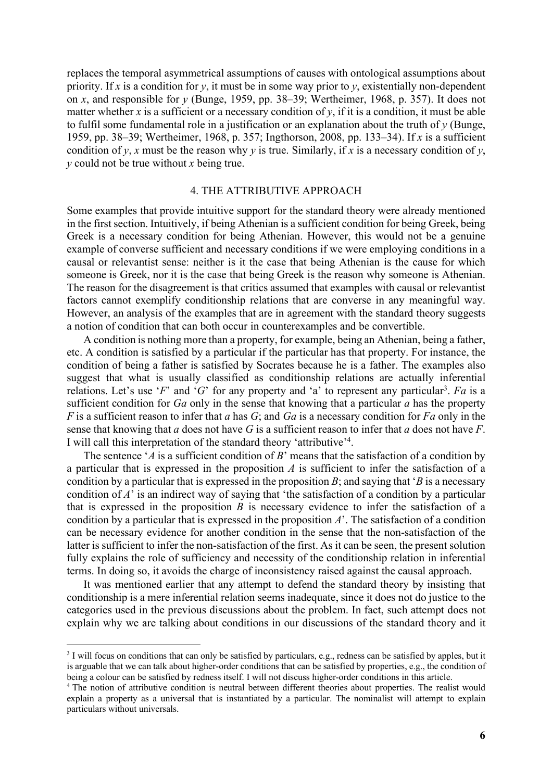replaces the temporal asymmetrical assumptions of causes with ontological assumptions about priority. If *x* is a condition for *y*, it must be in some way prior to *y*, existentially non-dependent on *x*, and responsible for *y* (Bunge, 1959, pp. 38–39; Wertheimer, 1968, p. 357). It does not matter whether *x* is a sufficient or a necessary condition of  $y$ , if it is a condition, it must be able to fulfil some fundamental role in a justification or an explanation about the truth of *y* (Bunge, 1959, pp. 38–39; Wertheimer, 1968, p. 357; Ingthorson, 2008, pp. 133–34). If *x* is a sufficient condition of *y*, *x* must be the reason why *y* is true. Similarly, if *x* is a necessary condition of *y*, *y* could not be true without *x* being true.

## 4. THE ATTRIBUTIVE APPROACH

Some examples that provide intuitive support for the standard theory were already mentioned in the first section. Intuitively, if being Athenian is a sufficient condition for being Greek, being Greek is a necessary condition for being Athenian. However, this would not be a genuine example of converse sufficient and necessary conditions if we were employing conditions in a causal or relevantist sense: neither is it the case that being Athenian is the cause for which someone is Greek, nor it is the case that being Greek is the reason why someone is Athenian. The reason for the disagreement is that critics assumed that examples with causal or relevantist factors cannot exemplify conditionship relations that are converse in any meaningful way. However, an analysis of the examples that are in agreement with the standard theory suggests a notion of condition that can both occur in counterexamples and be convertible.

A condition is nothing more than a property, for example, being an Athenian, being a father, etc. A condition is satisfied by a particular if the particular has that property. For instance, the condition of being a father is satisfied by Socrates because he is a father. The examples also suggest that what is usually classified as conditionship relations are actually inferential relations. Let's use '*F*' and '*G*' for any property and 'a' to represent any particular<sup>3</sup>. Fa is a sufficient condition for *Ga* only in the sense that knowing that a particular *a* has the property *F* is a sufficient reason to infer that *a* has *G*; and *Ga* is a necessary condition for *Fa* only in the sense that knowing that *a* does not have *G* is a sufficient reason to infer that *a* does not have *F*. I will call this interpretation of the standard theory 'attributive'<sup>4</sup>.

The sentence '*A* is a sufficient condition of *B*' means that the satisfaction of a condition by a particular that is expressed in the proposition *A* is sufficient to infer the satisfaction of a condition by a particular that is expressed in the proposition *B*; and saying that '*B* is a necessary condition of *A*' is an indirect way of saying that 'the satisfaction of a condition by a particular that is expressed in the proposition *B* is necessary evidence to infer the satisfaction of a condition by a particular that is expressed in the proposition *A*'. The satisfaction of a condition can be necessary evidence for another condition in the sense that the non-satisfaction of the latter is sufficient to infer the non-satisfaction of the first. As it can be seen, the present solution fully explains the role of sufficiency and necessity of the conditionship relation in inferential terms. In doing so, it avoids the charge of inconsistency raised against the causal approach.

It was mentioned earlier that any attempt to defend the standard theory by insisting that conditionship is a mere inferential relation seems inadequate, since it does not do justice to the categories used in the previous discussions about the problem. In fact, such attempt does not explain why we are talking about conditions in our discussions of the standard theory and it

<sup>&</sup>lt;sup>3</sup> I will focus on conditions that can only be satisfied by particulars, e.g., redness can be satisfied by apples, but it is arguable that we can talk about higher-order conditions that can be satisfied by properties, e.g., the condition of being a colour can be satisfied by redness itself. I will not discuss higher-order conditions in this a

<sup>&</sup>lt;sup>4</sup> The notion of attributive condition is neutral between different theories about properties. The realist would explain a property as a universal that is instantiated by a particular. The nominalist will attempt to explain particulars without universals.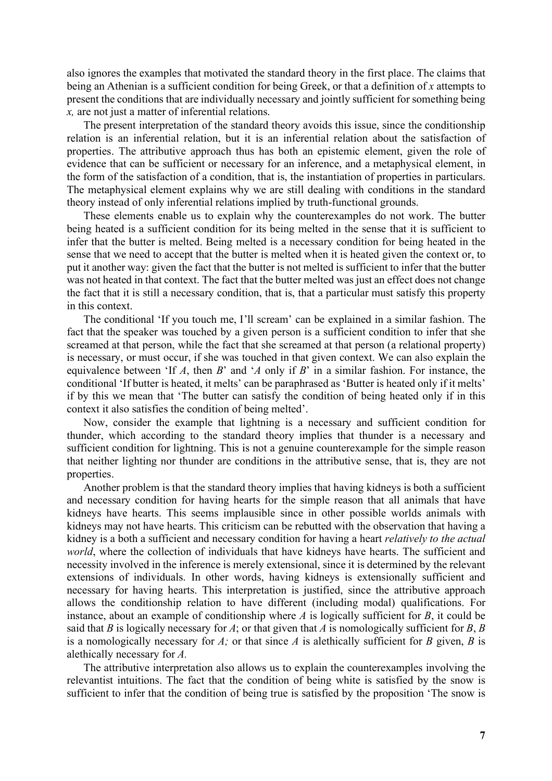also ignores the examples that motivated the standard theory in the first place. The claims that being an Athenian is a sufficient condition for being Greek, or that a definition of *x* attempts to present the conditions that are individually necessary and jointly sufficient for something being *x,* are not just a matter of inferential relations.

The present interpretation of the standard theory avoids this issue, since the conditionship relation is an inferential relation, but it is an inferential relation about the satisfaction of properties. The attributive approach thus has both an epistemic element, given the role of evidence that can be sufficient or necessary for an inference, and a metaphysical element, in the form of the satisfaction of a condition, that is, the instantiation of properties in particulars. The metaphysical element explains why we are still dealing with conditions in the standard theory instead of only inferential relations implied by truth-functional grounds.

These elements enable us to explain why the counterexamples do not work. The butter being heated is a sufficient condition for its being melted in the sense that it is sufficient to infer that the butter is melted. Being melted is a necessary condition for being heated in the sense that we need to accept that the butter is melted when it is heated given the context or, to put it another way: given the fact that the butter is not melted is sufficient to infer that the butter was not heated in that context. The fact that the butter melted was just an effect does not change the fact that it is still a necessary condition, that is, that a particular must satisfy this property in this context.

The conditional 'If you touch me, I'll scream' can be explained in a similar fashion. The fact that the speaker was touched by a given person is a sufficient condition to infer that she screamed at that person, while the fact that she screamed at that person (a relational property) is necessary, or must occur, if she was touched in that given context. We can also explain the equivalence between 'If *A*, then *B*' and '*A* only if *B*' in a similar fashion. For instance, the conditional 'If butter is heated, it melts' can be paraphrased as 'Butter is heated only if it melts' if by this we mean that 'The butter can satisfy the condition of being heated only if in this context it also satisfies the condition of being melted'.

Now, consider the example that lightning is a necessary and sufficient condition for thunder, which according to the standard theory implies that thunder is a necessary and sufficient condition for lightning. This is not a genuine counterexample for the simple reason that neither lighting nor thunder are conditions in the attributive sense, that is, they are not properties.

Another problem is that the standard theory implies that having kidneys is both a sufficient and necessary condition for having hearts for the simple reason that all animals that have kidneys have hearts. This seems implausible since in other possible worlds animals with kidneys may not have hearts. This criticism can be rebutted with the observation that having a kidney is a both a sufficient and necessary condition for having a heart *relatively to the actual world*, where the collection of individuals that have kidneys have hearts. The sufficient and necessity involved in the inference is merely extensional, since it is determined by the relevant extensions of individuals. In other words, having kidneys is extensionally sufficient and necessary for having hearts. This interpretation is justified, since the attributive approach allows the conditionship relation to have different (including modal) qualifications. For instance, about an example of conditionship where *A* is logically sufficient for *B*, it could be said that *B* is logically necessary for *A*; or that given that *A* is nomologically sufficient for *B*, *B* is a nomologically necessary for *A;* or that since *A* is alethically sufficient for *B* given, *B* is alethically necessary for *A.*

The attributive interpretation also allows us to explain the counterexamples involving the relevantist intuitions. The fact that the condition of being white is satisfied by the snow is sufficient to infer that the condition of being true is satisfied by the proposition 'The snow is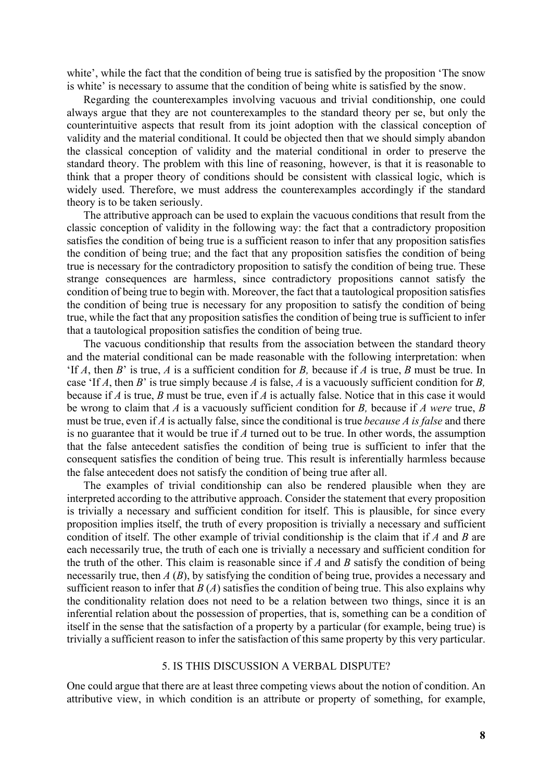white', while the fact that the condition of being true is satisfied by the proposition 'The snow is white' is necessary to assume that the condition of being white is satisfied by the snow.

Regarding the counterexamples involving vacuous and trivial conditionship, one could always argue that they are not counterexamples to the standard theory per se, but only the counterintuitive aspects that result from its joint adoption with the classical conception of validity and the material conditional. It could be objected then that we should simply abandon the classical conception of validity and the material conditional in order to preserve the standard theory. The problem with this line of reasoning, however, is that it is reasonable to think that a proper theory of conditions should be consistent with classical logic, which is widely used. Therefore, we must address the counterexamples accordingly if the standard theory is to be taken seriously.

The attributive approach can be used to explain the vacuous conditions that result from the classic conception of validity in the following way: the fact that a contradictory proposition satisfies the condition of being true is a sufficient reason to infer that any proposition satisfies the condition of being true; and the fact that any proposition satisfies the condition of being true is necessary for the contradictory proposition to satisfy the condition of being true. These strange consequences are harmless, since contradictory propositions cannot satisfy the condition of being true to begin with. Moreover, the fact that a tautological proposition satisfies the condition of being true is necessary for any proposition to satisfy the condition of being true, while the fact that any proposition satisfies the condition of being true is sufficient to infer that a tautological proposition satisfies the condition of being true.

The vacuous conditionship that results from the association between the standard theory and the material conditional can be made reasonable with the following interpretation: when 'If *A*, then *B*' is true, *A* is a sufficient condition for *B,* because if *A* is true, *B* must be true. In case 'If *A*, then *B*' is true simply because *A* is false, *A* is a vacuously sufficient condition for *B,* because if *A* is true, *B* must be true, even if *A* is actually false. Notice that in this case it would be wrong to claim that *A* is a vacuously sufficient condition for *B,* because if *A were* true, *B* must be true, even if *A* is actually false, since the conditional is true *because A is false* and there is no guarantee that it would be true if *A* turned out to be true. In other words, the assumption that the false antecedent satisfies the condition of being true is sufficient to infer that the consequent satisfies the condition of being true. This result is inferentially harmless because the false antecedent does not satisfy the condition of being true after all.

The examples of trivial conditionship can also be rendered plausible when they are interpreted according to the attributive approach. Consider the statement that every proposition is trivially a necessary and sufficient condition for itself. This is plausible, for since every proposition implies itself, the truth of every proposition is trivially a necessary and sufficient condition of itself. The other example of trivial conditionship is the claim that if *A* and *B* are each necessarily true, the truth of each one is trivially a necessary and sufficient condition for the truth of the other. This claim is reasonable since if *A* and *B* satisfy the condition of being necessarily true, then *A* (*B*), by satisfying the condition of being true, provides a necessary and sufficient reason to infer that  $B(A)$  satisfies the condition of being true. This also explains why the conditionality relation does not need to be a relation between two things, since it is an inferential relation about the possession of properties, that is, something can be a condition of itself in the sense that the satisfaction of a property by a particular (for example, being true) is trivially a sufficient reason to infer the satisfaction of this same property by this very particular.

### 5. IS THIS DISCUSSION A VERBAL DISPUTE?

One could argue that there are at least three competing views about the notion of condition. An attributive view, in which condition is an attribute or property of something, for example,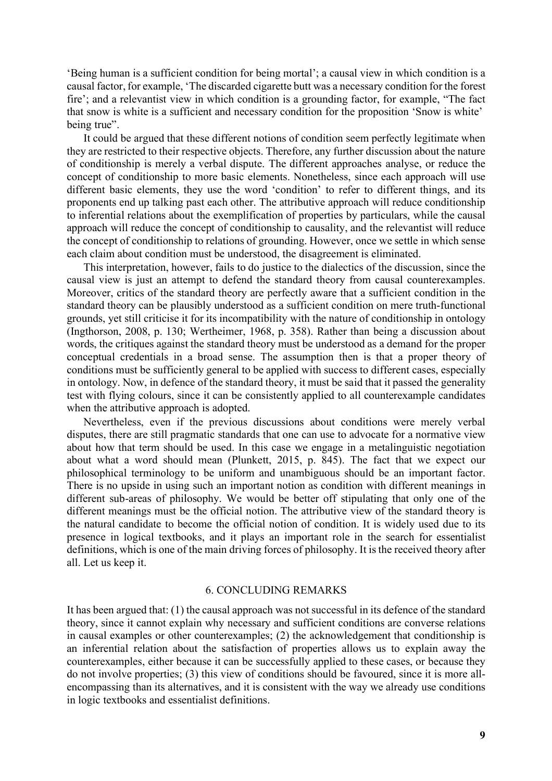'Being human is a sufficient condition for being mortal'; a causal view in which condition is a causal factor, for example, 'The discarded cigarette butt was a necessary condition for the forest fire'; and a relevantist view in which condition is a grounding factor, for example, "The fact that snow is white is a sufficient and necessary condition for the proposition 'Snow is white' being true".

It could be argued that these different notions of condition seem perfectly legitimate when they are restricted to their respective objects. Therefore, any further discussion about the nature of conditionship is merely a verbal dispute. The different approaches analyse, or reduce the concept of conditionship to more basic elements. Nonetheless, since each approach will use different basic elements, they use the word 'condition' to refer to different things, and its proponents end up talking past each other. The attributive approach will reduce conditionship to inferential relations about the exemplification of properties by particulars, while the causal approach will reduce the concept of conditionship to causality, and the relevantist will reduce the concept of conditionship to relations of grounding. However, once we settle in which sense each claim about condition must be understood, the disagreement is eliminated.

This interpretation, however, fails to do justice to the dialectics of the discussion, since the causal view is just an attempt to defend the standard theory from causal counterexamples. Moreover, critics of the standard theory are perfectly aware that a sufficient condition in the standard theory can be plausibly understood as a sufficient condition on mere truth-functional grounds, yet still criticise it for its incompatibility with the nature of conditionship in ontology (Ingthorson, 2008, p. 130; Wertheimer, 1968, p. 358). Rather than being a discussion about words, the critiques against the standard theory must be understood as a demand for the proper conceptual credentials in a broad sense. The assumption then is that a proper theory of conditions must be sufficiently general to be applied with success to different cases, especially in ontology. Now, in defence of the standard theory, it must be said that it passed the generality test with flying colours, since it can be consistently applied to all counterexample candidates when the attributive approach is adopted.

Nevertheless, even if the previous discussions about conditions were merely verbal disputes, there are still pragmatic standards that one can use to advocate for a normative view about how that term should be used. In this case we engage in a metalinguistic negotiation about what a word should mean (Plunkett, 2015, p. 845). The fact that we expect our philosophical terminology to be uniform and unambiguous should be an important factor. There is no upside in using such an important notion as condition with different meanings in different sub-areas of philosophy. We would be better off stipulating that only one of the different meanings must be the official notion. The attributive view of the standard theory is the natural candidate to become the official notion of condition. It is widely used due to its presence in logical textbooks, and it plays an important role in the search for essentialist definitions, which is one of the main driving forces of philosophy. It is the received theory after all. Let us keep it.

#### 6. CONCLUDING REMARKS

It has been argued that: (1) the causal approach was not successful in its defence of the standard theory, since it cannot explain why necessary and sufficient conditions are converse relations in causal examples or other counterexamples; (2) the acknowledgement that conditionship is an inferential relation about the satisfaction of properties allows us to explain away the counterexamples, either because it can be successfully applied to these cases, or because they do not involve properties; (3) this view of conditions should be favoured, since it is more allencompassing than its alternatives, and it is consistent with the way we already use conditions in logic textbooks and essentialist definitions.